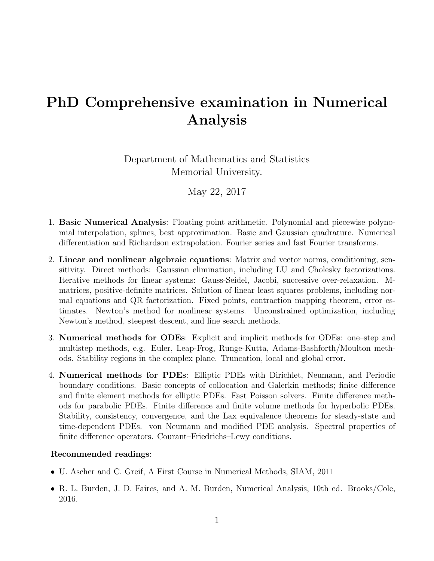## PhD Comprehensive examination in Numerical Analysis

Department of Mathematics and Statistics Memorial University.

May 22, 2017

- 1. Basic Numerical Analysis: Floating point arithmetic. Polynomial and piecewise polynomial interpolation, splines, best approximation. Basic and Gaussian quadrature. Numerical differentiation and Richardson extrapolation. Fourier series and fast Fourier transforms.
- 2. Linear and nonlinear algebraic equations: Matrix and vector norms, conditioning, sensitivity. Direct methods: Gaussian elimination, including LU and Cholesky factorizations. Iterative methods for linear systems: Gauss-Seidel, Jacobi, successive over-relaxation. Mmatrices, positive-definite matrices. Solution of linear least squares problems, including normal equations and QR factorization. Fixed points, contraction mapping theorem, error estimates. Newton's method for nonlinear systems. Unconstrained optimization, including Newton's method, steepest descent, and line search methods.
- 3. Numerical methods for ODEs: Explicit and implicit methods for ODEs: one–step and multistep methods, e.g. Euler, Leap-Frog, Runge-Kutta, Adams-Bashforth/Moulton methods. Stability regions in the complex plane. Truncation, local and global error.
- 4. Numerical methods for PDEs: Elliptic PDEs with Dirichlet, Neumann, and Periodic boundary conditions. Basic concepts of collocation and Galerkin methods; finite difference and finite element methods for elliptic PDEs. Fast Poisson solvers. Finite difference methods for parabolic PDEs. Finite difference and finite volume methods for hyperbolic PDEs. Stability, consistency, convergence, and the Lax equivalence theorems for steady-state and time-dependent PDEs. von Neumann and modified PDE analysis. Spectral properties of finite difference operators. Courant–Friedrichs–Lewy conditions.

## Recommended readings:

- U. Ascher and C. Greif, A First Course in Numerical Methods, SIAM, 2011
- R. L. Burden, J. D. Faires, and A. M. Burden, Numerical Analysis, 10th ed. Brooks/Cole, 2016.